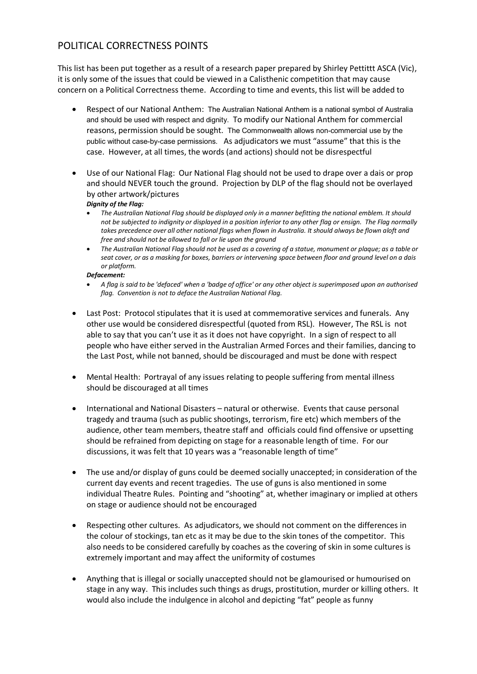## POLITICAL CORRECTNESS POINTS

This list has been put together as a result of a research paper prepared by Shirley Pettittt ASCA (Vic), it is only some of the issues that could be viewed in a Calisthenic competition that may cause concern on a Political Correctness theme. According to time and events, this list will be added to

- Respect of our National Anthem: The Australian National Anthem is a national symbol of Australia and should be used with respect and dignity. To modify our National Anthem for commercial reasons, permission should be sought. The Commonwealth allows non-commercial use by the public without case-by-case permissions. As adjudicators we must "assume" that this is the case. However, at all times, the words (and actions) should not be disrespectful
- Use of our National Flag: Our National Flag should not be used to drape over a dais or prop and should NEVER touch the ground. Projection by DLP of the flag should not be overlayed by other artwork/pictures

## *Dignity of the Flag:*

- x *The Australian National Flag should be displayed only in a manner befitting the national emblem. It should not be subjected to indignity or displayed in a position inferior to any other flag or ensign. The Flag normally takes precedence over all other national flags when flown in Australia. It should always be flown aloft and free and should not be allowed to fall or lie upon the ground*
- x *The Australian National Flag should not be used as a covering of a statue, monument or plaque; as a table or seat cover, or as a masking for boxes, barriers or intervening space between floor and ground level on a dais or platform.*

## *Defacement:*

- x *A flag is said to be 'defaced' when a 'badge of office' or any other object is superimposed upon an authorised flag. Convention is not to deface the Australian National Flag.*
- Last Post: Protocol stipulates that it is used at commemorative services and funerals. Any other use would be considered disrespectful (quoted from RSL). However, The RSL is not able to say that you can't use it as it does not have copyright. In a sign of respect to all people who have either served in the Australian Armed Forces and their families, dancing to the Last Post, while not banned, should be discouraged and must be done with respect
- x Mental Health: Portrayal of any issues relating to people suffering from mental illness should be discouraged at all times
- International and National Disasters natural or otherwise. Events that cause personal tragedy and trauma (such as public shootings, terrorism, fire etc) which members of the audience, other team members, theatre staff and officials could find offensive or upsetting should be refrained from depicting on stage for a reasonable length of time. For our discussions, it was felt that 10 years was a "reasonable length of time"
- The use and/or display of guns could be deemed socially unaccepted; in consideration of the current day events and recent tragedies. The use of guns is also mentioned in some individual Theatre Rules. Pointing and "shooting" at, whether imaginary or implied at others on stage or audience should not be encouraged
- Respecting other cultures. As adjudicators, we should not comment on the differences in the colour of stockings, tan etc as it may be due to the skin tones of the competitor. This also needs to be considered carefully by coaches as the covering of skin in some cultures is extremely important and may affect the uniformity of costumes
- x Anything that is illegal or socially unaccepted should not be glamourised or humourised on stage in any way. This includes such things as drugs, prostitution, murder or killing others. It would also include the indulgence in alcohol and depicting "fat" people as funny